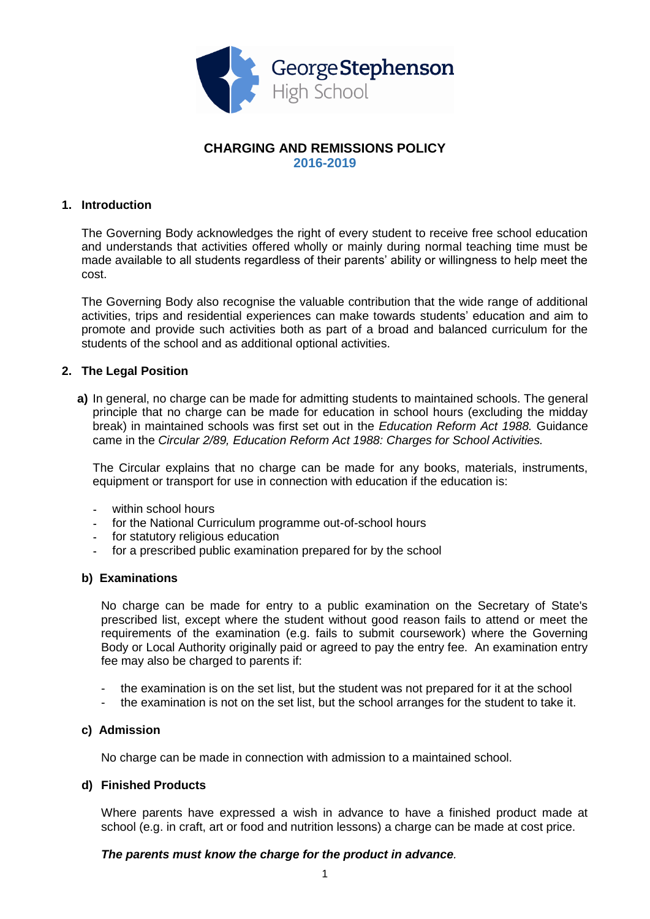

# **CHARGING AND REMISSIONS POLICY 2016-2019**

## **1. Introduction**

The Governing Body acknowledges the right of every student to receive free school education and understands that activities offered wholly or mainly during normal teaching time must be made available to all students regardless of their parents' ability or willingness to help meet the cost.

The Governing Body also recognise the valuable contribution that the wide range of additional activities, trips and residential experiences can make towards students' education and aim to promote and provide such activities both as part of a broad and balanced curriculum for the students of the school and as additional optional activities.

## **2. The Legal Position**

**a)** In general, no charge can be made for admitting students to maintained schools. The general principle that no charge can be made for education in school hours (excluding the midday break) in maintained schools was first set out in the *Education Reform Act 1988.* Guidance came in the *Circular 2/89, Education Reform Act 1988: Charges for School Activities.*

The Circular explains that no charge can be made for any books, materials, instruments, equipment or transport for use in connection with education if the education is:

- within school hours
- for the National Curriculum programme out-of-school hours
- for statutory religious education
- for a prescribed public examination prepared for by the school

#### **b) Examinations**

No charge can be made for entry to a public examination on the Secretary of State's prescribed list, except where the student without good reason fails to attend or meet the requirements of the examination (e.g. fails to submit coursework) where the Governing Body or Local Authority originally paid or agreed to pay the entry fee. An examination entry fee may also be charged to parents if:

- the examination is on the set list, but the student was not prepared for it at the school
- the examination is not on the set list, but the school arranges for the student to take it.

#### **c) Admission**

No charge can be made in connection with admission to a maintained school.

#### **d) Finished Products**

Where parents have expressed a wish in advance to have a finished product made at school (e.g. in craft, art or food and nutrition lessons) a charge can be made at cost price.

#### *The parents must know the charge for the product in advance.*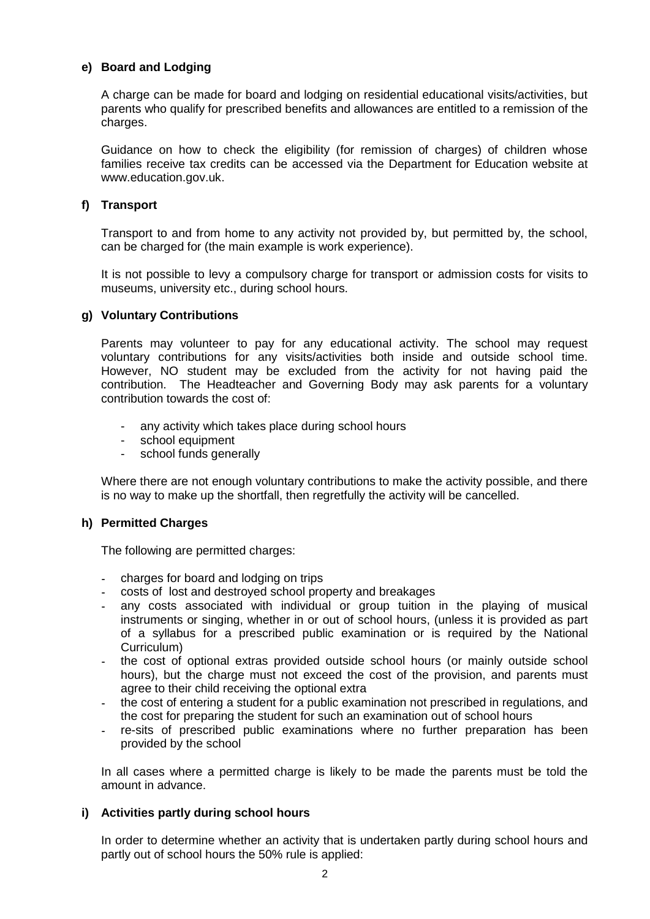# **e) Board and Lodging**

A charge can be made for board and lodging on residential educational visits/activities, but parents who qualify for prescribed benefits and allowances are entitled to a remission of the charges.

Guidance on how to check the eligibility (for remission of charges) of children whose families receive tax credits can be accessed via the Department for Education website at [www.education.gov.uk.](http://www.education.gov.uk/)

## **f) Transport**

Transport to and from home to any activity not provided by, but permitted by, the school, can be charged for (the main example is work experience).

It is not possible to levy a compulsory charge for transport or admission costs for visits to museums, university etc., during school hours.

## **g) Voluntary Contributions**

Parents may volunteer to pay for any educational activity. The school may request voluntary contributions for any visits/activities both inside and outside school time. However, NO student may be excluded from the activity for not having paid the contribution. The Headteacher and Governing Body may ask parents for a voluntary contribution towards the cost of:

- any activity which takes place during school hours
- school equipment
- school funds generally

Where there are not enough voluntary contributions to make the activity possible, and there is no way to make up the shortfall, then regretfully the activity will be cancelled.

## **h) Permitted Charges**

The following are permitted charges:

- charges for board and lodging on trips
- costs of lost and destroyed school property and breakages
- any costs associated with individual or group tuition in the playing of musical instruments or singing, whether in or out of school hours, (unless it is provided as part of a syllabus for a prescribed public examination or is required by the National Curriculum)
- the cost of optional extras provided outside school hours (or mainly outside school hours), but the charge must not exceed the cost of the provision, and parents must agree to their child receiving the optional extra
- the cost of entering a student for a public examination not prescribed in regulations, and the cost for preparing the student for such an examination out of school hours
- re-sits of prescribed public examinations where no further preparation has been provided by the school

In all cases where a permitted charge is likely to be made the parents must be told the amount in advance.

## **i) Activities partly during school hours**

In order to determine whether an activity that is undertaken partly during school hours and partly out of school hours the 50% rule is applied: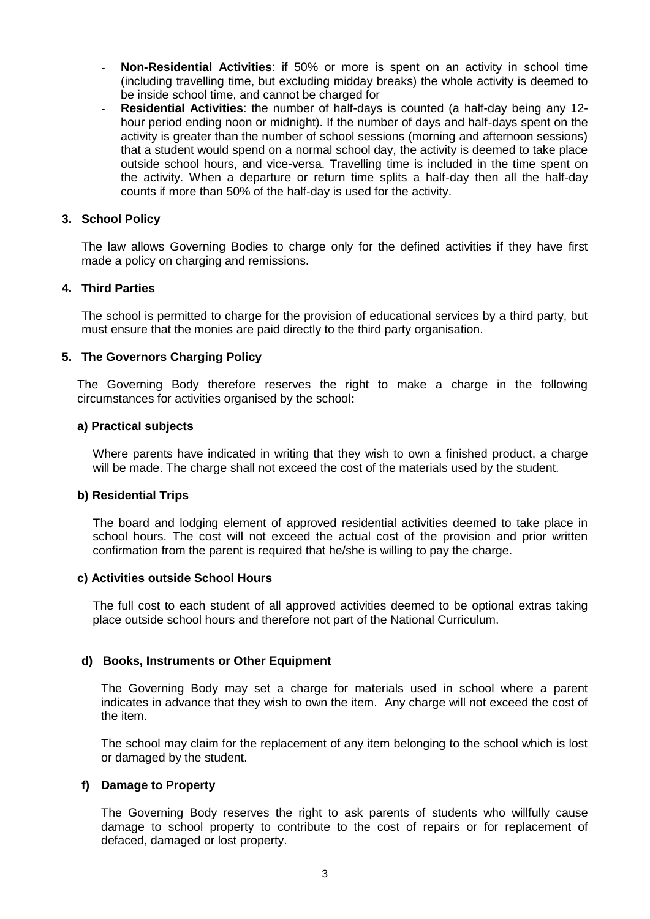- **Non-Residential Activities**: if 50% or more is spent on an activity in school time (including travelling time, but excluding midday breaks) the whole activity is deemed to be inside school time, and cannot be charged for
- **Residential Activities**: the number of half-days is counted (a half-day being any 12 hour period ending noon or midnight). If the number of days and half-days spent on the activity is greater than the number of school sessions (morning and afternoon sessions) that a student would spend on a normal school day, the activity is deemed to take place outside school hours, and vice-versa. Travelling time is included in the time spent on the activity. When a departure or return time splits a half-day then all the half-day counts if more than 50% of the half-day is used for the activity.

## **3. School Policy**

The law allows Governing Bodies to charge only for the defined activities if they have first made a policy on charging and remissions.

## **4. Third Parties**

The school is permitted to charge for the provision of educational services by a third party, but must ensure that the monies are paid directly to the third party organisation.

## **5. The Governors Charging Policy**

The Governing Body therefore reserves the right to make a charge in the following circumstances for activities organised by the school**:**

#### **a) Practical subjects**

Where parents have indicated in writing that they wish to own a finished product, a charge will be made. The charge shall not exceed the cost of the materials used by the student.

#### **b) Residential Trips**

The board and lodging element of approved residential activities deemed to take place in school hours. The cost will not exceed the actual cost of the provision and prior written confirmation from the parent is required that he/she is willing to pay the charge.

#### **c) Activities outside School Hours**

The full cost to each student of all approved activities deemed to be optional extras taking place outside school hours and therefore not part of the National Curriculum.

#### **d) Books, Instruments or Other Equipment**

The Governing Body may set a charge for materials used in school where a parent indicates in advance that they wish to own the item. Any charge will not exceed the cost of the item.

The school may claim for the replacement of any item belonging to the school which is lost or damaged by the student.

#### **f) Damage to Property**

The Governing Body reserves the right to ask parents of students who willfully cause damage to school property to contribute to the cost of repairs or for replacement of defaced, damaged or lost property.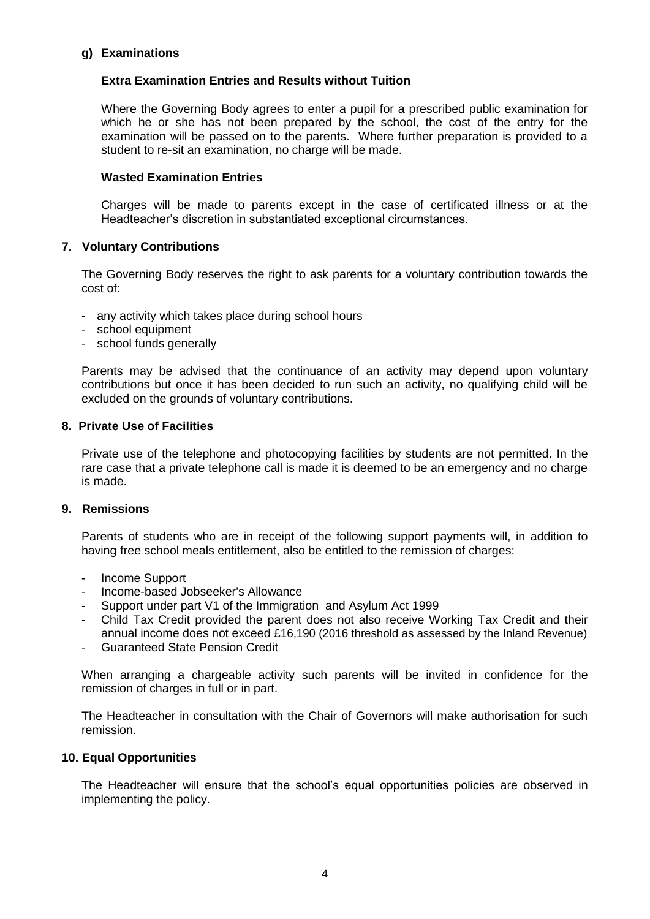## **g) Examinations**

# **Extra Examination Entries and Results without Tuition**

Where the Governing Body agrees to enter a pupil for a prescribed public examination for which he or she has not been prepared by the school, the cost of the entry for the examination will be passed on to the parents. Where further preparation is provided to a student to re-sit an examination, no charge will be made.

## **Wasted Examination Entries**

Charges will be made to parents except in the case of certificated illness or at the Headteacher's discretion in substantiated exceptional circumstances.

## **7. Voluntary Contributions**

The Governing Body reserves the right to ask parents for a voluntary contribution towards the cost of:

- any activity which takes place during school hours
- school equipment
- school funds generally

Parents may be advised that the continuance of an activity may depend upon voluntary contributions but once it has been decided to run such an activity, no qualifying child will be excluded on the grounds of voluntary contributions.

## **8. Private Use of Facilities**

Private use of the telephone and photocopying facilities by students are not permitted. In the rare case that a private telephone call is made it is deemed to be an emergency and no charge is made.

# **9. Remissions**

Parents of students who are in receipt of the following support payments will, in addition to having free school meals entitlement, also be entitled to the remission of charges:

- Income Support
- Income-based Jobseeker's Allowance
- Support under part V1 of the Immigration and Asylum Act 1999
- Child Tax Credit provided the parent does not also receive Working Tax Credit and their annual income does not exceed £16,190 (2016 threshold as assessed by the Inland Revenue)
- Guaranteed State Pension Credit

When arranging a chargeable activity such parents will be invited in confidence for the remission of charges in full or in part.

The Headteacher in consultation with the Chair of Governors will make authorisation for such remission.

#### **10. Equal Opportunities**

The Headteacher will ensure that the school's equal opportunities policies are observed in implementing the policy.